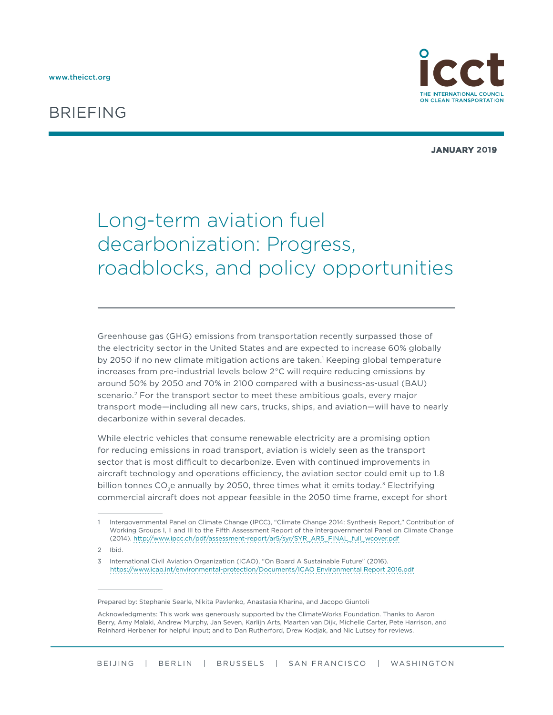# BRIEFING



**JANUARY 2019**

# Long-term aviation fuel decarbonization: Progress, roadblocks, and policy opportunities

Greenhouse gas (GHG) emissions from transportation recently surpassed those of the electricity sector in the United States and are expected to increase 60% globally by 2050 if no new climate mitigation actions are taken.<sup>1</sup> Keeping global temperature increases from pre-industrial levels below 2°C will require reducing emissions by around 50% by 2050 and 70% in 2100 compared with a business-as-usual (BAU) scenario.<sup>2</sup> For the transport sector to meet these ambitious goals, every major transport mode—including all new cars, trucks, ships, and aviation—will have to nearly decarbonize within several decades.

While electric vehicles that consume renewable electricity are a promising option for reducing emissions in road transport, aviation is widely seen as the transport sector that is most difficult to decarbonize. Even with continued improvements in aircraft technology and operations efficiency, the aviation sector could emit up to 1.8 billion tonnes  $CO<sub>2</sub>e$  annually by 2050, three times what it emits today.<sup>3</sup> Electrifying commercial aircraft does not appear feasible in the 2050 time frame, except for short

3 International Civil Aviation Organization (ICAO), "On Board A Sustainable Future" (2016). <https://www.icao.int/environmental-protection/Documents/ICAO Environmental Report 2016.pdf>

<sup>1</sup> Intergovernmental Panel on Climate Change (IPCC), "Climate Change 2014: Synthesis Report," Contribution of Working Groups I, II and III to the Fifth Assessment Report of the Intergovernmental Panel on Climate Change (2014). [http://www.ipcc.ch/pdf/assessment-report/ar5/syr/SYR\\_AR5\\_FINAL\\_full\\_wcover.pdf](http://www.ipcc.ch/pdf/assessment-report/ar5/syr/SYR_AR5_FINAL_full_wcover.pdf)

<sup>2</sup> Ibid.

Prepared by: Stephanie Searle, Nikita Pavlenko, Anastasia Kharina, and Jacopo Giuntoli

Acknowledgments: This work was generously supported by the ClimateWorks Foundation. Thanks to Aaron Berry, Amy Malaki, Andrew Murphy, Jan Seven, Karlijn Arts, Maarten van Dijk, Michelle Carter, Pete Harrison, and Reinhard Herbener for helpful input; and to Dan Rutherford, Drew Kodjak, and Nic Lutsey for reviews.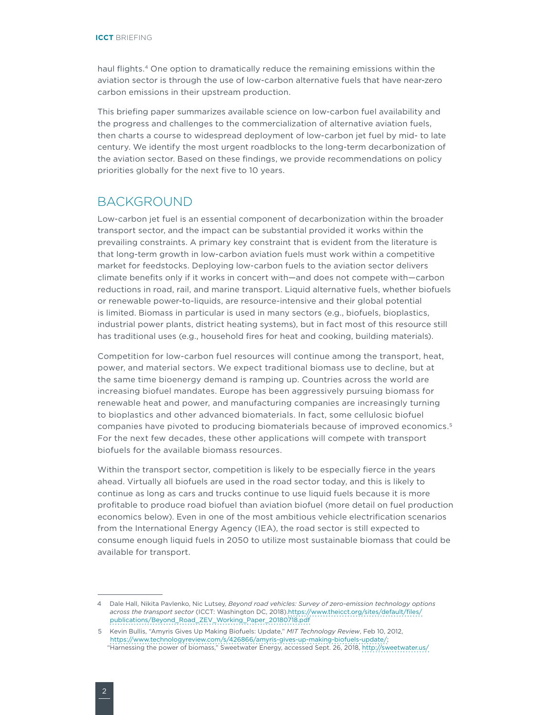haul flights.<sup>4</sup> One option to dramatically reduce the remaining emissions within the aviation sector is through the use of low-carbon alternative fuels that have near-zero carbon emissions in their upstream production.

This briefing paper summarizes available science on low-carbon fuel availability and the progress and challenges to the commercialization of alternative aviation fuels, then charts a course to widespread deployment of low-carbon jet fuel by mid- to late century. We identify the most urgent roadblocks to the long-term decarbonization of the aviation sector. Based on these findings, we provide recommendations on policy priorities globally for the next five to 10 years.

#### BACKGROUND

Low-carbon jet fuel is an essential component of decarbonization within the broader transport sector, and the impact can be substantial provided it works within the prevailing constraints. A primary key constraint that is evident from the literature is that long-term growth in low-carbon aviation fuels must work within a competitive market for feedstocks. Deploying low-carbon fuels to the aviation sector delivers climate benefits only if it works in concert with—and does not compete with—carbon reductions in road, rail, and marine transport. Liquid alternative fuels, whether biofuels or renewable power-to-liquids, are resource-intensive and their global potential is limited. Biomass in particular is used in many sectors (e.g., biofuels, bioplastics, industrial power plants, district heating systems), but in fact most of this resource still has traditional uses (e.g., household fires for heat and cooking, building materials).

Competition for low-carbon fuel resources will continue among the transport, heat, power, and material sectors. We expect traditional biomass use to decline, but at the same time bioenergy demand is ramping up. Countries across the world are increasing biofuel mandates. Europe has been aggressively pursuing biomass for renewable heat and power, and manufacturing companies are increasingly turning to bioplastics and other advanced biomaterials. In fact, some cellulosic biofuel companies have pivoted to producing biomaterials because of improved economics.5 For the next few decades, these other applications will compete with transport biofuels for the available biomass resources.

Within the transport sector, competition is likely to be especially fierce in the years ahead. Virtually all biofuels are used in the road sector today, and this is likely to continue as long as cars and trucks continue to use liquid fuels because it is more profitable to produce road biofuel than aviation biofuel (more detail on fuel production economics below). Even in one of the most ambitious vehicle electrification scenarios from the International Energy Agency (IEA), the road sector is still expected to consume enough liquid fuels in 2050 to utilize most sustainable biomass that could be available for transport.

<sup>4</sup> Dale Hall, Nikita Pavlenko, Nic Lutsey, *Beyond road vehicles: Survey of zero-emission technology options across the transport sector* (ICCT: Washington DC, 2018)[.https://www.theicct.org/sites/default/files/](https://www.theicct.org/sites/default/files/publications/Beyond_Road_ZEV_Working_Paper_20180718.pdf) [publications/Beyond\\_Road\\_ZEV\\_Working\\_Paper\\_20180718.pdf](https://www.theicct.org/sites/default/files/publications/Beyond_Road_ZEV_Working_Paper_20180718.pdf)

<sup>5</sup> Kevin Bullis, "Amyris Gives Up Making Biofuels: Update," *MIT Technology Review*, Feb 10, 2012, [https://www.technologyreview.com/s/426866/amyris-gives-up-making-biofuels-update/;](https://www.technologyreview.com/s/426866/amyris-gives-up-making-biofuels-update/) "Harnessing the power of biomass," Sweetwater Energy, accessed Sept. 26, 2018,<http://sweetwater.us/>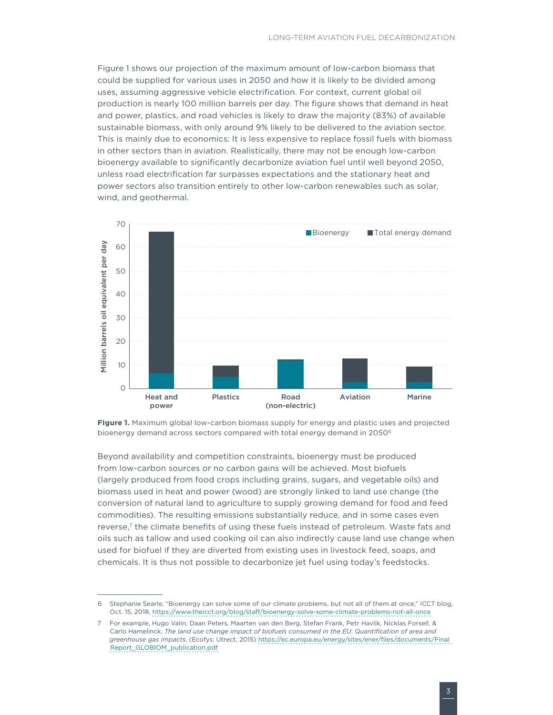[Figure 1](#page-2-0) shows our projection of the maximum amount of low-carbon biomass that could be supplied for various uses in 2050 and how it is likely to be divided among uses, assuming aggressive vehicle electrification. For context, current global oil production is nearly 100 million barrels per day. The figure shows that demand in heat and power, plastics, and road vehicles is likely to draw the majority (83%) of available sustainable biomass, with only around 9% likely to be delivered to the aviation sector. This is mainly due to economics: It is less expensive to replace fossil fuels with biomass in other sectors than in aviation. Realistically, there may not be enough low-carbon bioenergy available to significantly decarbonize aviation fuel until well beyond 2050, unless road electrification far surpasses expectations and the stationary heat and power sectors also transition entirely to other low-carbon renewables such as solar, wind, and geothermal.



<span id="page-2-0"></span>**FIgure 1.** Maximum global low-carbon biomass supply for energy and plastic uses and projected bioenergy demand across sectors compared with total energy demand in 2050<sup>6</sup>

Beyond availability and competition constraints, bioenergy must be produced from low-carbon sources or no carbon gains will be achieved. Most biofuels (largely produced from food crops including grains, sugars, and vegetable oils) and biomass used in heat and power (wood) are strongly linked to land use change (the conversion of natural land to agriculture to supply growing demand for food and feed commodities). The resulting emissions substantially reduce, and in some cases even reverse,7 the climate benefits of using these fuels instead of petroleum. Waste fats and oils such as tallow and used cooking oil can also indirectly cause land use change when used for biofuel if they are diverted from existing uses in livestock feed, soaps, and chemicals. It is thus not possible to decarbonize jet fuel using today's feedstocks.

<sup>6</sup> Stephanie Searle, "Bioenergy can solve some of our climate problems, but not all of them at once," ICCT blog, Oct. 15, 2018, <https://www.theicct.org/blog/staff/bioenergy-solve-some-climate-problems-not-all-once>

<sup>7</sup> For example, Hugo Valin, Daan Peters, Maarten van den Berg, Stefan Frank, Petr Havlik, Nicklas Forsell, & Carlo Hamelinck, *The land use change impact of biofuels consumed in the EU*: *Quantification of area and greenhouse gas impacts*, (Ecofys: Utrect, 2015) [https://ec.europa.eu/energy/sites/ener/files/documents/Final](https://ec.europa.eu/energy/sites/ener/files/documents/Final Report_GLOBIOM_publication.pdf)  [Report\\_GLOBIOM\\_publication.pdf](https://ec.europa.eu/energy/sites/ener/files/documents/Final Report_GLOBIOM_publication.pdf)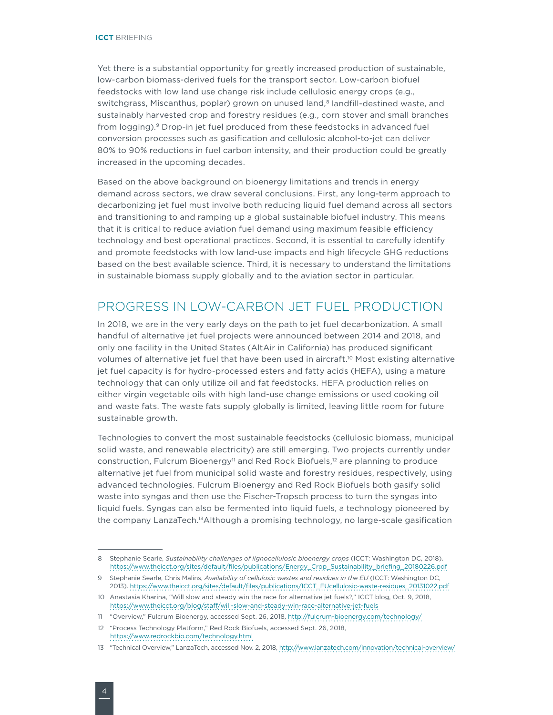Yet there is a substantial opportunity for greatly increased production of sustainable, low-carbon biomass-derived fuels for the transport sector. Low-carbon biofuel feedstocks with low land use change risk include cellulosic energy crops (e.g., switchgrass, Miscanthus, poplar) grown on unused land,<sup>8</sup> landfill-destined waste, and sustainably harvested crop and forestry residues (e.g., corn stover and small branches from logging).<sup>9</sup> Drop-in jet fuel produced from these feedstocks in advanced fuel conversion processes such as gasification and cellulosic alcohol-to-jet can deliver 80% to 90% reductions in fuel carbon intensity, and their production could be greatly increased in the upcoming decades.

Based on the above background on bioenergy limitations and trends in energy demand across sectors, we draw several conclusions. First, any long-term approach to decarbonizing jet fuel must involve both reducing liquid fuel demand across all sectors and transitioning to and ramping up a global sustainable biofuel industry. This means that it is critical to reduce aviation fuel demand using maximum feasible efficiency technology and best operational practices. Second, it is essential to carefully identify and promote feedstocks with low land-use impacts and high lifecycle GHG reductions based on the best available science. Third, it is necessary to understand the limitations in sustainable biomass supply globally and to the aviation sector in particular.

## PROGRESS IN LOW-CARBON JET FUEL PRODUCTION

In 2018, we are in the very early days on the path to jet fuel decarbonization. A small handful of alternative jet fuel projects were announced between 2014 and 2018, and only one facility in the United States (AltAir in California) has produced significant volumes of alternative jet fuel that have been used in aircraft.<sup>10</sup> Most existing alternative jet fuel capacity is for hydro-processed esters and fatty acids (HEFA), using a mature technology that can only utilize oil and fat feedstocks. HEFA production relies on either virgin vegetable oils with high land-use change emissions or used cooking oil and waste fats. The waste fats supply globally is limited, leaving little room for future sustainable growth.

Technologies to convert the most sustainable feedstocks (cellulosic biomass, municipal solid waste, and renewable electricity) are still emerging. Two projects currently under construction, Fulcrum Bioenergy<sup>11</sup> and Red Rock Biofuels,<sup>12</sup> are planning to produce alternative jet fuel from municipal solid waste and forestry residues, respectively, using advanced technologies. Fulcrum Bioenergy and Red Rock Biofuels both gasify solid waste into syngas and then use the Fischer-Tropsch process to turn the syngas into liquid fuels. Syngas can also be fermented into liquid fuels, a technology pioneered by the company LanzaTech.13Although a promising technology, no large-scale gasification

<sup>8</sup> Stephanie Searle, *Sustainability challenges of lignocellulosic bioenergy crops* (ICCT: Washington DC, 2018). [https://www.theicct.org/sites/default/files/publications/Energy\\_Crop\\_Sustainability\\_briefing\\_20180226.pdf](https://www.theicct.org/sites/default/files/publications/Energy_Crop_Sustainability_briefing_20180226.pdf)

<sup>9</sup> Stephanie Searle, Chris Malins, *Availability of cellulosic wastes and residues in the EU* (ICCT: Washington DC, 2013). [https://www.theicct.org/sites/default/files/publications/ICCT\\_EUcellulosic-waste-residues\\_20131022.pdf](https://www.theicct.org/sites/default/files/publications/ICCT_EUcellulosic-waste-residues_20131022.pdf)

<sup>10</sup> Anastasia Kharina, "Will slow and steady win the race for alternative jet fuels?," ICCT blog, Oct. 9, 2018, <https://www.theicct.org/blog/staff/will-slow-and-steady-win-race-alternative-jet-fuels>

<sup>11</sup> "Overview," Fulcrum Bioenergy, accessed Sept. 26, 2018, <http://fulcrum-bioenergy.com/technology/>

<sup>12</sup> "Process Technology Platform," Red Rock Biofuels, accessed Sept. 26, 2018, <https://www.redrockbio.com/technology.html>

<sup>13</sup> "Technical Overview," LanzaTech, accessed Nov. 2, 2018,<http://www.lanzatech.com/innovation/technical-overview/>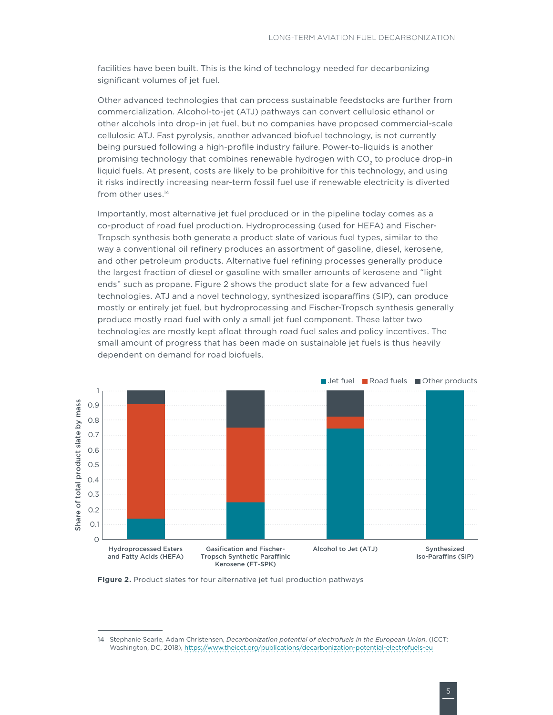facilities have been built. This is the kind of technology needed for decarbonizing significant volumes of jet fuel.

Other advanced technologies that can process sustainable feedstocks are further from commercialization. Alcohol-to-jet (ATJ) pathways can convert cellulosic ethanol or other alcohols into drop-in jet fuel, but no companies have proposed commercial-scale cellulosic ATJ. Fast pyrolysis, another advanced biofuel technology, is not currently being pursued following a high-profile industry failure. Power-to-liquids is another promising technology that combines renewable hydrogen with CO<sub>2</sub> to produce drop-in liquid fuels. At present, costs are likely to be prohibitive for this technology, and using it risks indirectly increasing near-term fossil fuel use if renewable electricity is diverted from other uses.<sup>14</sup>

Importantly, most alternative jet fuel produced or in the pipeline today comes as a co-product of road fuel production. Hydroprocessing (used for HEFA) and Fischer-Tropsch synthesis both generate a product slate of various fuel types, similar to the way a conventional oil refinery produces an assortment of gasoline, diesel, kerosene, and other petroleum products. Alternative fuel refining processes generally produce the largest fraction of diesel or gasoline with smaller amounts of kerosene and "light ends" such as propane. [Figure 2](#page-4-0) shows the product slate for a few advanced fuel technologies. ATJ and a novel technology, synthesized isoparaffins (SIP), can produce mostly or entirely jet fuel, but hydroprocessing and Fischer-Tropsch synthesis generally produce mostly road fuel with only a small jet fuel component. These latter two technologies are mostly kept afloat through road fuel sales and policy incentives. The small amount of progress that has been made on sustainable jet fuels is thus heavily dependent on demand for road biofuels.



<span id="page-4-0"></span>**FIgure 2.** Product slates for four alternative jet fuel production pathways

<sup>14</sup> Stephanie Searle, Adam Christensen, *Decarbonization potential of electrofuels in the European Union*, (ICCT: Washington, DC, 2018),<https://www.theicct.org/publications/decarbonization-potential-electrofuels-eu>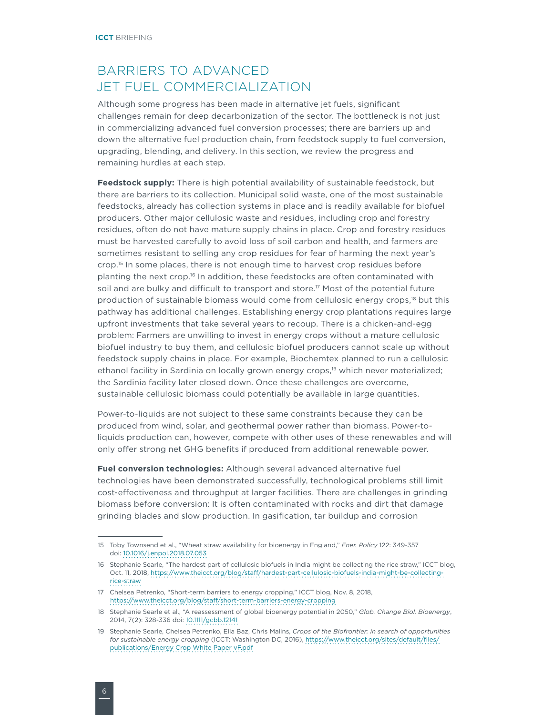## BARRIERS TO ADVANCED JET FUEL COMMERCIALIZATION

Although some progress has been made in alternative jet fuels, significant challenges remain for deep decarbonization of the sector. The bottleneck is not just in commercializing advanced fuel conversion processes; there are barriers up and down the alternative fuel production chain, from feedstock supply to fuel conversion, upgrading, blending, and delivery. In this section, we review the progress and remaining hurdles at each step.

**Feedstock supply:** There is high potential availability of sustainable feedstock, but there are barriers to its collection. Municipal solid waste, one of the most sustainable feedstocks, already has collection systems in place and is readily available for biofuel producers. Other major cellulosic waste and residues, including crop and forestry residues, often do not have mature supply chains in place. Crop and forestry residues must be harvested carefully to avoid loss of soil carbon and health, and farmers are sometimes resistant to selling any crop residues for fear of harming the next year's crop.15 In some places, there is not enough time to harvest crop residues before planting the next crop.16 In addition, these feedstocks are often contaminated with soil and are bulky and difficult to transport and store.<sup>17</sup> Most of the potential future production of sustainable biomass would come from cellulosic energy crops,18 but this pathway has additional challenges. Establishing energy crop plantations requires large upfront investments that take several years to recoup. There is a chicken-and-egg problem: Farmers are unwilling to invest in energy crops without a mature cellulosic biofuel industry to buy them, and cellulosic biofuel producers cannot scale up without feedstock supply chains in place. For example, Biochemtex planned to run a cellulosic ethanol facility in Sardinia on locally grown energy crops,<sup>19</sup> which never materialized; the Sardinia facility later closed down. Once these challenges are overcome, sustainable cellulosic biomass could potentially be available in large quantities.

Power-to-liquids are not subject to these same constraints because they can be produced from wind, solar, and geothermal power rather than biomass. Power-toliquids production can, however, compete with other uses of these renewables and will only offer strong net GHG benefits if produced from additional renewable power.

**Fuel conversion technologies:** Although several advanced alternative fuel technologies have been demonstrated successfully, technological problems still limit cost-effectiveness and throughput at larger facilities. There are challenges in grinding biomass before conversion: It is often contaminated with rocks and dirt that damage grinding blades and slow production. In gasification, tar buildup and corrosion

<sup>15</sup> Toby Townsend et al., "Wheat straw availability for bioenergy in England," *Ener. Policy* 122: 349-357 doi: [10.1016/j.enpol.2018.07.053](https://www.sciencedirect.com/science/article/pii/S0301421518304993?via%3Dihub)

<sup>16</sup> Stephanie Searle, "The hardest part of cellulosic biofuels in India might be collecting the rice straw," ICCT blog, Oct. 11, 2018, [https://www.theicct.org/blog/staff/hardest-part-cellulosic-biofuels-india-might-be-collecting](https://www.theicct.org/blog/staff/hardest-part-cellulosic-biofuels-india-might-be-collecting-rice-straw)[rice-straw](https://www.theicct.org/blog/staff/hardest-part-cellulosic-biofuels-india-might-be-collecting-rice-straw)

<sup>17</sup> Chelsea Petrenko, "Short-term barriers to energy cropping," ICCT blog, Nov. 8, 2018, <https://www.theicct.org/blog/staff/short-term-barriers-energy-cropping>

<sup>18</sup> Stephanie Searle et al., "A reassessment of global bioenergy potential in 2050," *Glob. Change Biol. Bioenergy*, 2014, 7(2): 328-336 doi: [10.1111/gcbb.12141](https://doi.org/10.1111/gcbb.12141)

<sup>19</sup> Stephanie Searle, Chelsea Petrenko, Ella Baz, Chris Malins, *Crops of the Biofrontier: in search of opportunities for sustainable energy cropping* (ICCT: Washington DC, 2016), [https://www.theicct.org/sites/default/files/](https://www.theicct.org/sites/default/files/publications/Energy Crop White Paper vF.pdf) [publications/Energy Crop White Paper vF.pdf](https://www.theicct.org/sites/default/files/publications/Energy Crop White Paper vF.pdf)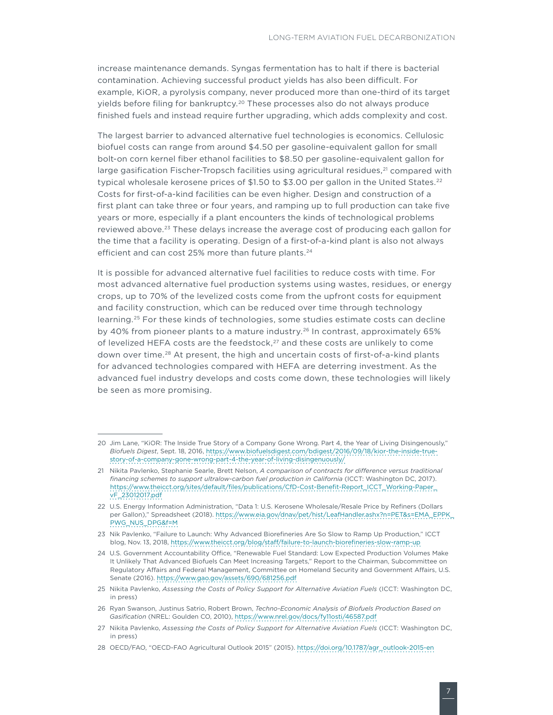increase maintenance demands. Syngas fermentation has to halt if there is bacterial contamination. Achieving successful product yields has also been difficult. For example, KiOR, a pyrolysis company, never produced more than one-third of its target yields before filing for bankruptcy.<sup>20</sup> These processes also do not always produce finished fuels and instead require further upgrading, which adds complexity and cost.

The largest barrier to advanced alternative fuel technologies is economics. Cellulosic biofuel costs can range from around \$4.50 per gasoline-equivalent gallon for small bolt-on corn kernel fiber ethanol facilities to \$8.50 per gasoline-equivalent gallon for large gasification Fischer-Tropsch facilities using agricultural residues,<sup>21</sup> compared with typical wholesale kerosene prices of \$1.50 to \$3.00 per gallon in the United States.<sup>22</sup> Costs for first-of-a-kind facilities can be even higher. Design and construction of a first plant can take three or four years, and ramping up to full production can take five years or more, especially if a plant encounters the kinds of technological problems reviewed above.<sup>23</sup> These delays increase the average cost of producing each gallon for the time that a facility is operating. Design of a first-of-a-kind plant is also not always efficient and can cost 25% more than future plants.<sup>24</sup>

It is possible for advanced alternative fuel facilities to reduce costs with time. For most advanced alternative fuel production systems using wastes, residues, or energy crops, up to 70% of the levelized costs come from the upfront costs for equipment and facility construction, which can be reduced over time through technology learning.25 For these kinds of technologies, some studies estimate costs can decline by 40% from pioneer plants to a mature industry.<sup>26</sup> In contrast, approximately 65% of levelized HEFA costs are the feedstock, $27$  and these costs are unlikely to come down over time.28 At present, the high and uncertain costs of first-of-a-kind plants for advanced technologies compared with HEFA are deterring investment. As the advanced fuel industry develops and costs come down, these technologies will likely be seen as more promising.

<sup>20</sup> Jim Lane, "KiOR: The Inside True Story of a Company Gone Wrong. Part 4, the Year of Living Disingenously," *Biofuels Digest*, Sept. 18, 2016, [https://www.biofuelsdigest.com/bdigest/2016/09/18/kior-the-inside-true](https://www.biofuelsdigest.com/bdigest/2016/09/18/kior-the-inside-true-story-of-a-company-gone-wrong-part-4-the-year-of-living-disingenuously/)[story-of-a-company-gone-wrong-part-4-the-year-of-living-disingenuously/](https://www.biofuelsdigest.com/bdigest/2016/09/18/kior-the-inside-true-story-of-a-company-gone-wrong-part-4-the-year-of-living-disingenuously/)

<sup>21</sup> Nikita Pavlenko, Stephanie Searle, Brett Nelson, *A comparison of contracts for difference versus traditional*  financing schemes to support ultralow-carbon fuel production in California (ICCT: Washington DC, 2017). [https://www.theicct.org/sites/default/files/publications/CfD-Cost-Benefit-Report\\_ICCT\\_Working-Paper\\_](https://www.theicct.org/sites/default/files/publications/CfD-Cost-Benefit-Report_ICCT_Working-Paper_vF_23012017.pdf) [vF\\_23012017.pdf](https://www.theicct.org/sites/default/files/publications/CfD-Cost-Benefit-Report_ICCT_Working-Paper_vF_23012017.pdf)

<sup>22</sup> U.S. Energy Information Administration, "Data 1: U.S. Kerosene Wholesale/Resale Price by Refiners (Dollars per Gallon)," Spreadsheet (2018). [https://www.eia.gov/dnav/pet/hist/LeafHandler.ashx?n=PET&s=EMA\\_EPPK\\_](https://www.eia.gov/dnav/pet/hist/LeafHandler.ashx?n=PET&s=EMA_EPPK_PWG_NUS_DPG&f=M) [PWG\\_NUS\\_DPG&f=M](https://www.eia.gov/dnav/pet/hist/LeafHandler.ashx?n=PET&s=EMA_EPPK_PWG_NUS_DPG&f=M)

<sup>23</sup> Nik Pavlenko, "Failure to Launch: Why Advanced Biorefineries Are So Slow to Ramp Up Production," ICCT blog, Nov. 13, 2018,<https://www.theicct.org/blog/staff/failure-to-launch-biorefineries-slow-ramp-up>

<sup>24</sup> U.S. Government Accountability Office, "Renewable Fuel Standard: Low Expected Production Volumes Make It Unlikely That Advanced Biofuels Can Meet Increasing Targets," Report to the Chairman, Subcommittee on Regulatory Affairs and Federal Management, Committee on Homeland Security and Government Affairs, U.S. Senate (2016). <https://www.gao.gov/assets/690/681256.pdf>

<sup>25</sup> Nikita Pavlenko, *Assessing the Costs of Policy Support for Alternative Aviation Fuels* (ICCT: Washington DC, in press)

<sup>26</sup> Ryan Swanson, Justinus Satrio, Robert Brown, *Techno-Economic Analysis of Biofuels Production Based on Gasification* (NREL: Goulden CO, 2010),<https://www.nrel.gov/docs/fy11osti/46587.pdf>

<sup>27</sup> Nikita Pavlenko, *Assessing the Costs of Policy Support for Alternative Aviation Fuels* (ICCT: Washington DC, in press)

<sup>28</sup> OECD/FAO, "OECD-FAO Agricultural Outlook 2015" (2015). [https://doi.org/10.1787/agr\\_outlook-2015-en](https://doi.org/10.1787/agr_outlook-2015-en)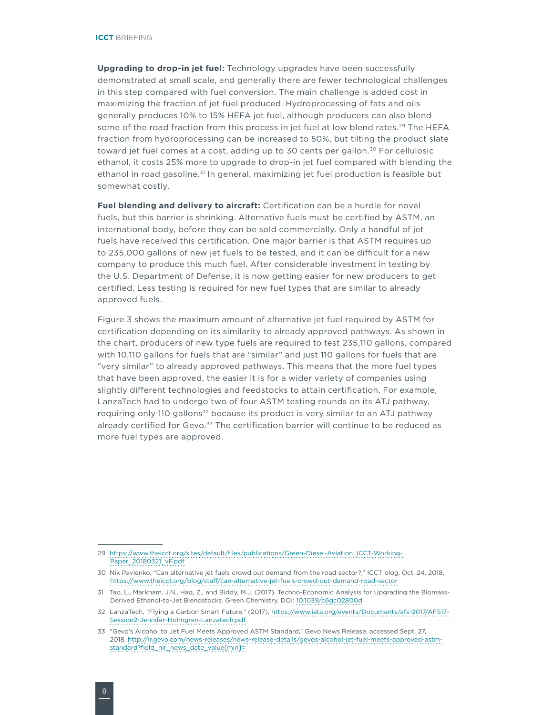**Upgrading to drop-in jet fuel:** Technology upgrades have been successfully demonstrated at small scale, and generally there are fewer technological challenges in this step compared with fuel conversion. The main challenge is added cost in maximizing the fraction of jet fuel produced. Hydroprocessing of fats and oils generally produces 10% to 15% HEFA jet fuel, although producers can also blend some of the road fraction from this process in jet fuel at low blend rates.<sup>29</sup> The HEFA fraction from hydroprocessing can be increased to 50%, but tilting the product slate toward jet fuel comes at a cost, adding up to 30 cents per gallon.<sup>30</sup> For cellulosic ethanol, it costs 25% more to upgrade to drop-in jet fuel compared with blending the ethanol in road gasoline.<sup>31</sup> In general, maximizing jet fuel production is feasible but somewhat costly.

**Fuel blending and delivery to aircraft:** Certification can be a hurdle for novel fuels, but this barrier is shrinking. Alternative fuels must be certified by ASTM, an international body, before they can be sold commercially. Only a handful of jet fuels have received this certification. One major barrier is that ASTM requires up to 235,000 gallons of new jet fuels to be tested, and it can be difficult for a new company to produce this much fuel. After considerable investment in testing by the U.S. Department of Defense, it is now getting easier for new producers to get certified. Less testing is required for new fuel types that are similar to already approved fuels.

[Figure 3](#page-8-0) shows the maximum amount of alternative jet fuel required by ASTM for certification depending on its similarity to already approved pathways. As shown in the chart, producers of new type fuels are required to test 235,110 gallons, compared with 10,110 gallons for fuels that are "similar" and just 110 gallons for fuels that are "very similar" to already approved pathways. This means that the more fuel types that have been approved, the easier it is for a wider variety of companies using slightly different technologies and feedstocks to attain certification. For example, LanzaTech had to undergo two of four ASTM testing rounds on its ATJ pathway, requiring only 110 gallons<sup>32</sup> because its product is very similar to an ATJ pathway already certified for Gevo.<sup>33</sup> The certification barrier will continue to be reduced as more fuel types are approved.

<sup>29</sup> [https://www.theicct.org/sites/default/files/publications/Green-Diesel-Aviation\\_ICCT-Working-](https://www.theicct.org/sites/default/files/publications/Green-Diesel-Aviation_ICCT-Working-Paper_20180321_vF.pdf)[Paper\\_20180321\\_vF.pdf](https://www.theicct.org/sites/default/files/publications/Green-Diesel-Aviation_ICCT-Working-Paper_20180321_vF.pdf)

<sup>30</sup> Nik Pavlenko, "Can alternative jet fuels crowd out demand from the road sector?," ICCT blog, Oct. 24, 2018, <https://www.theicct.org/blog/staff/can-alternative-jet-fuels-crowd-out-demand-road-sector>

<sup>31</sup> Tao, L., Markham, J.N., Haq, Z., and Biddy, M.J. (2017). Techno-Economic Analysis for Upgrading the Biomass-Derived Ethanol-to-Jet Blendstocks. Green Chemistry. DOI: [10.1039/c6gc02800d](https://pubs.rsc.org/en/content/articlelanding/2017/gc/c6gc02800d#!divAbstract)

<sup>32</sup> LanzaTech, "Flying a Carbon Smart Future," (2017), [https://www.iata.org/events/Documents/afs-2017/AFS17-](https://www.iata.org/events/Documents/afs-2017/AFS17-Session2-Jennifer-Holmgren-Lanzatech.pdf) [Session2-Jennifer-Holmgren-Lanzatech.pdf](https://www.iata.org/events/Documents/afs-2017/AFS17-Session2-Jennifer-Holmgren-Lanzatech.pdf)

<sup>33</sup> "Gevo's Alcohol to Jet Fuel Meets Approved ASTM Standard," Gevo News Release, accessed Sept. 27, 2018, [http://ir.gevo.com/news-releases/news-release-details/gevos-alcohol-jet-fuel-meets-approved-astm](http://ir.gevo.com/news-releases/news-release-details/gevos-alcohol-jet-fuel-meets-approved-astm-standard?field_nir_news_date_value%5bmin%5d=)[standard?field\\_nir\\_news\\_date\\_value\[min\]=](http://ir.gevo.com/news-releases/news-release-details/gevos-alcohol-jet-fuel-meets-approved-astm-standard?field_nir_news_date_value%5bmin%5d=)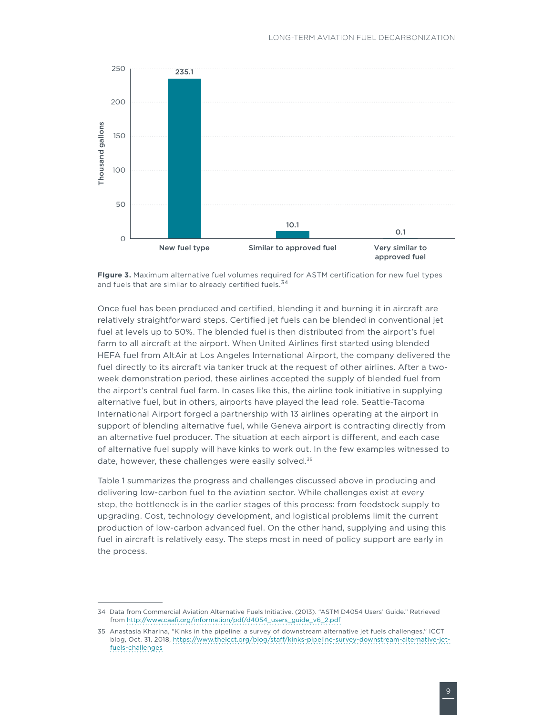

<span id="page-8-0"></span>

Once fuel has been produced and certified, blending it and burning it in aircraft are relatively straightforward steps. Certified jet fuels can be blended in conventional jet fuel at levels up to 50%. The blended fuel is then distributed from the airport's fuel farm to all aircraft at the airport. When United Airlines first started using blended HEFA fuel from AltAir at Los Angeles International Airport, the company delivered the fuel directly to its aircraft via tanker truck at the request of other airlines. After a twoweek demonstration period, these airlines accepted the supply of blended fuel from the airport's central fuel farm. In cases like this, the airline took initiative in supplying alternative fuel, but in others, airports have played the lead role. Seattle-Tacoma International Airport forged a partnership with 13 airlines operating at the airport in support of blending alternative fuel, while Geneva airport is contracting directly from an alternative fuel producer. The situation at each airport is different, and each case of alternative fuel supply will have kinks to work out. In the few examples witnessed to date, however, these challenges were easily solved.<sup>35</sup>

Table 1 summarizes the progress and challenges discussed above in producing and delivering low-carbon fuel to the aviation sector. While challenges exist at every step, the bottleneck is in the earlier stages of this process: from feedstock supply to upgrading. Cost, technology development, and logistical problems limit the current production of low-carbon advanced fuel. On the other hand, supplying and using this fuel in aircraft is relatively easy. The steps most in need of policy support are early in the process.

<sup>34</sup> Data from Commercial Aviation Alternative Fuels Initiative. (2013). "ASTM D4054 Users' Guide." Retrieved from [http://www.caafi.org/information/pdf/d4054\\_users\\_guide\\_v6\\_2.pdf](http://www.caafi.org/information/pdf/d4054_users_guide_v6_2.pdf)

<sup>35</sup> Anastasia Kharina, "Kinks in the pipeline: a survey of downstream alternative jet fuels challenges," ICCT blog, Oct. 31, 2018, [https://www.theicct.org/blog/staff/kinks-pipeline-survey-downstream-alternative-jet](https://www.theicct.org/blog/staff/kinks-pipeline-survey-downstream-alternative-jet-fuels-challenges)[fuels-challenges](https://www.theicct.org/blog/staff/kinks-pipeline-survey-downstream-alternative-jet-fuels-challenges)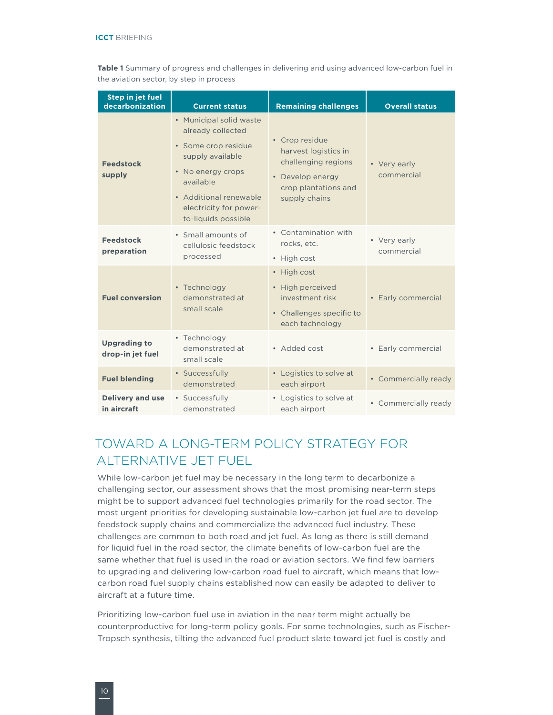**Table 1** Summary of progress and challenges in delivering and using advanced low-carbon fuel in the aviation sector, by step in process

| Step in jet fuel<br>decarbonization     | <b>Current status</b>                                                                                                                                                                                | <b>Remaining challenges</b>                                                                                                | <b>Overall status</b>      |
|-----------------------------------------|------------------------------------------------------------------------------------------------------------------------------------------------------------------------------------------------------|----------------------------------------------------------------------------------------------------------------------------|----------------------------|
| <b>Feedstock</b><br>supply              | • Municipal solid waste<br>already collected<br>· Some crop residue<br>supply available<br>• No energy crops<br>available<br>• Additional renewable<br>electricity for power-<br>to-liquids possible | • Crop residue<br>harvest logistics in<br>challenging regions<br>• Develop energy<br>crop plantations and<br>supply chains | • Very early<br>commercial |
| <b>Feedstock</b><br>preparation         | • Small amounts of<br>cellulosic feedstock<br>processed                                                                                                                                              | • Contamination with<br>rocks, etc.<br>• High cost                                                                         | • Very early<br>commercial |
| <b>Fuel conversion</b>                  | • Technology<br>demonstrated at<br>small scale                                                                                                                                                       | • High cost<br>• High perceived<br>investment risk<br>• Challenges specific to<br>each technology                          | • Early commercial         |
| <b>Upgrading to</b><br>drop-in jet fuel | • Technology<br>demonstrated at<br>small scale                                                                                                                                                       | • Added cost                                                                                                               | • Early commercial         |
| <b>Fuel blending</b>                    | • Successfully<br>demonstrated                                                                                                                                                                       | • Logistics to solve at<br>each airport                                                                                    | • Commercially ready       |
| <b>Delivery and use</b><br>in aircraft  | • Successfully<br>demonstrated                                                                                                                                                                       | • Logistics to solve at<br>each airport                                                                                    | • Commercially ready       |

# TOWARD A LONG-TERM POLICY STRATEGY FOR ALTERNATIVE JET FUEL

While low-carbon jet fuel may be necessary in the long term to decarbonize a challenging sector, our assessment shows that the most promising near-term steps might be to support advanced fuel technologies primarily for the road sector. The most urgent priorities for developing sustainable low-carbon jet fuel are to develop feedstock supply chains and commercialize the advanced fuel industry. These challenges are common to both road and jet fuel. As long as there is still demand for liquid fuel in the road sector, the climate benefits of low-carbon fuel are the same whether that fuel is used in the road or aviation sectors. We find few barriers to upgrading and delivering low-carbon road fuel to aircraft, which means that lowcarbon road fuel supply chains established now can easily be adapted to deliver to aircraft at a future time.

Prioritizing low-carbon fuel use in aviation in the near term might actually be counterproductive for long-term policy goals. For some technologies, such as Fischer-Tropsch synthesis, tilting the advanced fuel product slate toward jet fuel is costly and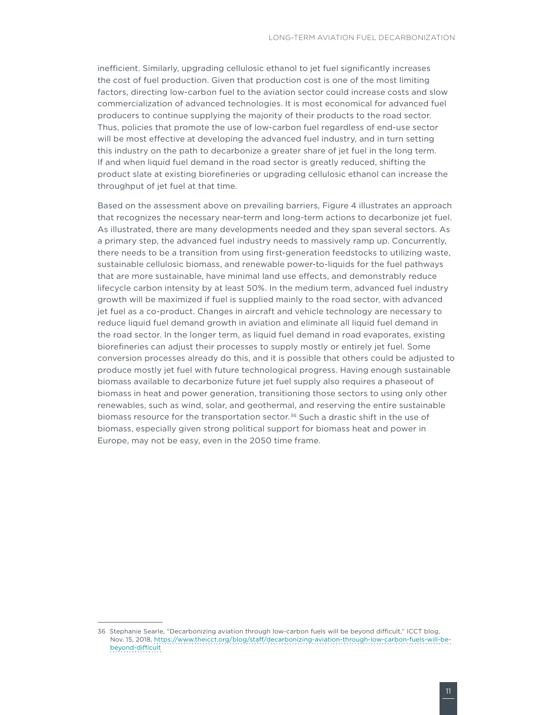inefficient. Similarly, upgrading cellulosic ethanol to jet fuel significantly increases the cost of fuel production. Given that production cost is one of the most limiting factors, directing low-carbon fuel to the aviation sector could increase costs and slow commercialization of advanced technologies. It is most economical for advanced fuel producers to continue supplying the majority of their products to the road sector. Thus, policies that promote the use of low-carbon fuel regardless of end-use sector will be most effective at developing the advanced fuel industry, and in turn setting this industry on the path to decarbonize a greater share of jet fuel in the long term. If and when liquid fuel demand in the road sector is greatly reduced, shifting the product slate at existing biorefineries or upgrading cellulosic ethanol can increase the throughput of jet fuel at that time.

Based on the assessment above on prevailing barriers, [Figure 4](#page-11-0) illustrates an approach that recognizes the necessary near-term and long-term actions to decarbonize jet fuel. As illustrated, there are many developments needed and they span several sectors. As a primary step, the advanced fuel industry needs to massively ramp up. Concurrently, there needs to be a transition from using first-generation feedstocks to utilizing waste, sustainable cellulosic biomass, and renewable power-to-liquids for the fuel pathways that are more sustainable, have minimal land use effects, and demonstrably reduce lifecycle carbon intensity by at least 50%. In the medium term, advanced fuel industry growth will be maximized if fuel is supplied mainly to the road sector, with advanced jet fuel as a co-product. Changes in aircraft and vehicle technology are necessary to reduce liquid fuel demand growth in aviation and eliminate all liquid fuel demand in the road sector. In the longer term, as liquid fuel demand in road evaporates, existing biorefineries can adjust their processes to supply mostly or entirely jet fuel. Some conversion processes already do this, and it is possible that others could be adjusted to produce mostly jet fuel with future technological progress. Having enough sustainable biomass available to decarbonize future jet fuel supply also requires a phaseout of biomass in heat and power generation, transitioning those sectors to using only other renewables, such as wind, solar, and geothermal, and reserving the entire sustainable biomass resource for the transportation sector.<sup>36</sup> Such a drastic shift in the use of biomass, especially given strong political support for biomass heat and power in Europe, may not be easy, even in the 2050 time frame.

<sup>36</sup> Stephanie Searle, "Decarbonizing aviation through low-carbon fuels will be beyond difficult," ICCT blog, Nov. 15, 2018, [https://www.theicct.org/blog/staff/decarbonizing-aviation-through-low-carbon-fuels-will-be](https://www.theicct.org/blog/staff/decarbonizing-aviation-through-low-carbon-fuels-will-be-beyond-difficult)[beyond-difficult](https://www.theicct.org/blog/staff/decarbonizing-aviation-through-low-carbon-fuels-will-be-beyond-difficult)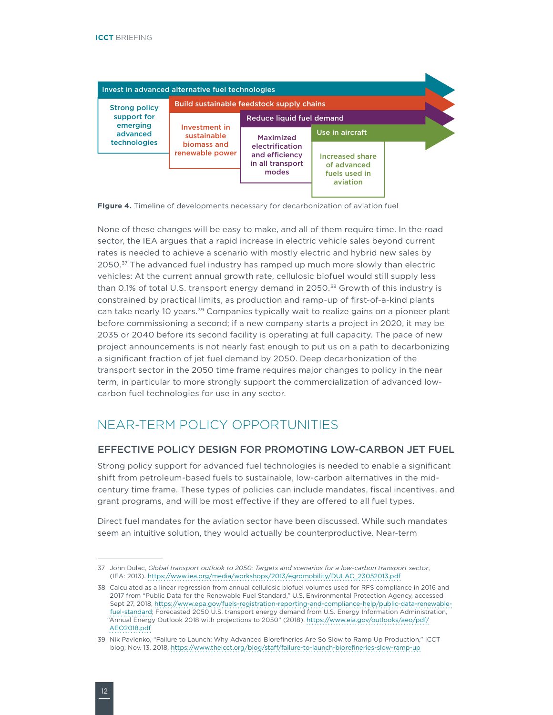

<span id="page-11-0"></span>**FIgure 4.** Timeline of developments necessary for decarbonization of aviation fuel

None of these changes will be easy to make, and all of them require time. In the road sector, the IEA argues that a rapid increase in electric vehicle sales beyond current rates is needed to achieve a scenario with mostly electric and hybrid new sales by 2050.<sup>37</sup> The advanced fuel industry has ramped up much more slowly than electric vehicles: At the current annual growth rate, cellulosic biofuel would still supply less than 0.1% of total U.S. transport energy demand in 2050. $38$  Growth of this industry is constrained by practical limits, as production and ramp-up of first-of-a-kind plants can take nearly 10 years.<sup>39</sup> Companies typically wait to realize gains on a pioneer plant before commissioning a second; if a new company starts a project in 2020, it may be 2035 or 2040 before its second facility is operating at full capacity. The pace of new project announcements is not nearly fast enough to put us on a path to decarbonizing a significant fraction of jet fuel demand by 2050. Deep decarbonization of the transport sector in the 2050 time frame requires major changes to policy in the near term, in particular to more strongly support the commercialization of advanced lowcarbon fuel technologies for use in any sector.

### NEAR-TERM POLICY OPPORTUNITIES

#### EFFECTIVE POLICY DESIGN FOR PROMOTING LOW-CARBON JET FUEL

Strong policy support for advanced fuel technologies is needed to enable a significant shift from petroleum-based fuels to sustainable, low-carbon alternatives in the midcentury time frame. These types of policies can include mandates, fiscal incentives, and grant programs, and will be most effective if they are offered to all fuel types.

Direct fuel mandates for the aviation sector have been discussed. While such mandates seem an intuitive solution, they would actually be counterproductive. Near-term

<sup>37</sup> John Dulac, *Global transport outlook to 2050: Targets and scenarios for a low-carbon transport sector*, (IEA: 2013). [https://www.iea.org/media/workshops/2013/egrdmobility/DULAC\\_23052013.pdf](https://www.iea.org/media/workshops/2013/egrdmobility/DULAC_23052013.pdf)

<sup>38</sup> Calculated as a linear regression from annual cellulosic biofuel volumes used for RFS compliance in 2016 and 2017 from "Public Data for the Renewable Fuel Standard," U.S. Environmental Protection Agency, accessed Sept 27, 2018, [https://www.epa.gov/fuels-registration-reporting-and-compliance-help/public-data-renewable](https://www.epa.gov/fuels-registration-reporting-and-compliance-help/public-data-renewable-fuel-standard)[fuel-standard](https://www.epa.gov/fuels-registration-reporting-and-compliance-help/public-data-renewable-fuel-standard); Forecasted 2050 U.S. transport energy demand from U.S. Energy Information Administration, "Annual Energy Outlook 2018 with projections to 2050" (2018). [https://www.eia.gov/outlooks/aeo/pdf/](https://www.eia.gov/outlooks/aeo/pdf/AEO2018.pdf) [AEO2018.pdf](https://www.eia.gov/outlooks/aeo/pdf/AEO2018.pdf)

<sup>39</sup> Nik Pavlenko, "Failure to Launch: Why Advanced Biorefineries Are So Slow to Ramp Up Production," ICCT blog, Nov. 13, 2018,<https://www.theicct.org/blog/staff/failure-to-launch-biorefineries-slow-ramp-up>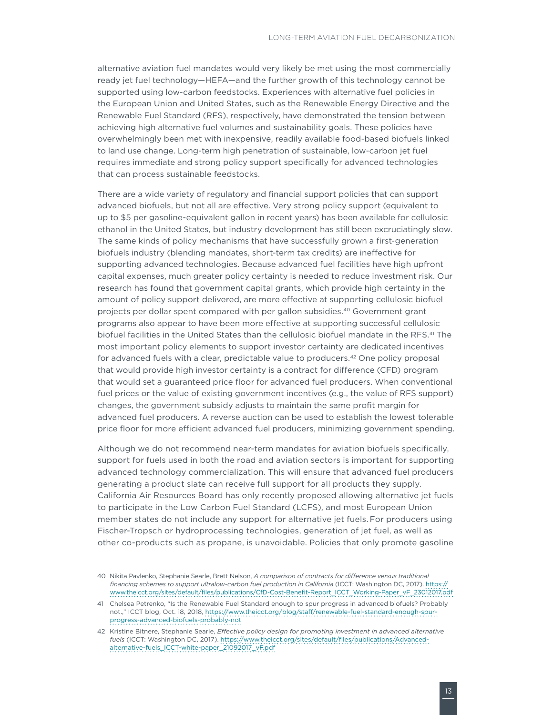alternative aviation fuel mandates would very likely be met using the most commercially ready jet fuel technology—HEFA—and the further growth of this technology cannot be supported using low-carbon feedstocks. Experiences with alternative fuel policies in the European Union and United States, such as the Renewable Energy Directive and the Renewable Fuel Standard (RFS), respectively, have demonstrated the tension between achieving high alternative fuel volumes and sustainability goals. These policies have overwhelmingly been met with inexpensive, readily available food-based biofuels linked to land use change. Long-term high penetration of sustainable, low-carbon jet fuel requires immediate and strong policy support specifically for advanced technologies that can process sustainable feedstocks.

There are a wide variety of regulatory and financial support policies that can support advanced biofuels, but not all are effective. Very strong policy support (equivalent to up to \$5 per gasoline-equivalent gallon in recent years) has been available for cellulosic ethanol in the United States, but industry development has still been excruciatingly slow. The same kinds of policy mechanisms that have successfully grown a first-generation biofuels industry (blending mandates, short-term tax credits) are ineffective for supporting advanced technologies. Because advanced fuel facilities have high upfront capital expenses, much greater policy certainty is needed to reduce investment risk. Our research has found that government capital grants, which provide high certainty in the amount of policy support delivered, are more effective at supporting cellulosic biofuel projects per dollar spent compared with per gallon subsidies.40 Government grant programs also appear to have been more effective at supporting successful cellulosic biofuel facilities in the United States than the cellulosic biofuel mandate in the RFS.<sup>41</sup> The most important policy elements to support investor certainty are dedicated incentives for advanced fuels with a clear, predictable value to producers.<sup>42</sup> One policy proposal that would provide high investor certainty is a contract for difference (CFD) program that would set a guaranteed price floor for advanced fuel producers. When conventional fuel prices or the value of existing government incentives (e.g., the value of RFS support) changes, the government subsidy adjusts to maintain the same profit margin for advanced fuel producers. A reverse auction can be used to establish the lowest tolerable price floor for more efficient advanced fuel producers, minimizing government spending.

Although we do not recommend near-term mandates for aviation biofuels specifically, support for fuels used in both the road and aviation sectors is important for supporting advanced technology commercialization. This will ensure that advanced fuel producers generating a product slate can receive full support for all products they supply. California Air Resources Board has only recently proposed allowing alternative jet fuels to participate in the Low Carbon Fuel Standard (LCFS), and most European Union member states do not include any support for alternative jet fuels. For producers using Fischer-Tropsch or hydroprocessing technologies, generation of jet fuel, as well as other co-products such as propane, is unavoidable. Policies that only promote gasoline

<sup>40</sup> Nikita Pavlenko, Stephanie Searle, Brett Nelson, *A comparison of contracts for difference versus traditional financing schemes to support ultralow-carbon fuel production in California* (ICCT: Washington DC, 2017). [https://](https://www.theicct.org/sites/default/files/publications/CfD-Cost-Benefit-Report_ICCT_Working-Paper_vF_23012017.pdf) [www.theicct.org/sites/default/files/publications/CfD-Cost-Benefit-Report\\_ICCT\\_Working-Paper\\_vF\\_23012017.pdf](https://www.theicct.org/sites/default/files/publications/CfD-Cost-Benefit-Report_ICCT_Working-Paper_vF_23012017.pdf)

<sup>41</sup> Chelsea Petrenko, "Is the Renewable Fuel Standard enough to spur progress in advanced biofuels? Probably not.," ICCT blog, Oct. 18, 2018, [https://www.theicct.org/blog/staff/renewable-fuel-standard-enough-spur](https://www.theicct.org/blog/staff/renewable-fuel-standard-enough-spur-progress-advanced-biofuels-probably-not)[progress-advanced-biofuels-probably-not](https://www.theicct.org/blog/staff/renewable-fuel-standard-enough-spur-progress-advanced-biofuels-probably-not)

<sup>42</sup> Kristine Bitnere, Stephanie Searle, *Effective policy design for promoting investment in advanced alternative fuels* (ICCT: Washington DC, 2017). [https://www.theicct.org/sites/default/files/publications/Advanced](https://www.theicct.org/sites/default/files/publications/Advanced-alternative-fuels_ICCT-white-paper_21092017_vF.pdf)[alternative-fuels\\_ICCT-white-paper\\_21092017\\_vF.pdf](https://www.theicct.org/sites/default/files/publications/Advanced-alternative-fuels_ICCT-white-paper_21092017_vF.pdf)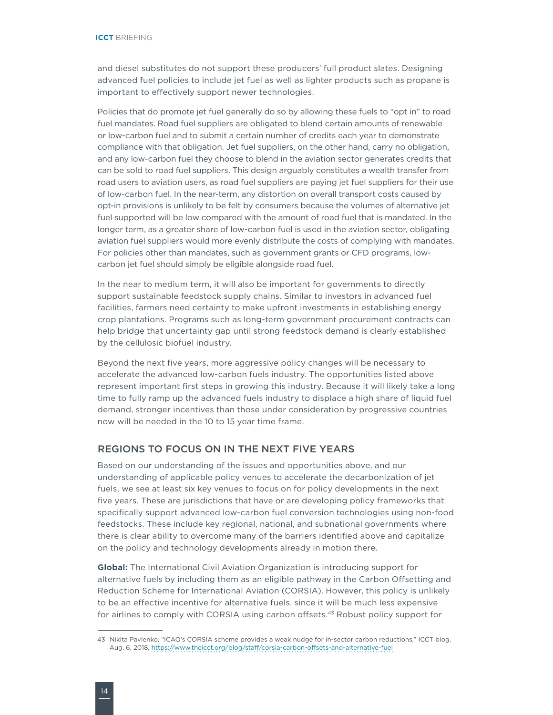and diesel substitutes do not support these producers' full product slates. Designing advanced fuel policies to include jet fuel as well as lighter products such as propane is important to effectively support newer technologies.

Policies that do promote jet fuel generally do so by allowing these fuels to "opt in" to road fuel mandates. Road fuel suppliers are obligated to blend certain amounts of renewable or low-carbon fuel and to submit a certain number of credits each year to demonstrate compliance with that obligation. Jet fuel suppliers, on the other hand, carry no obligation, and any low-carbon fuel they choose to blend in the aviation sector generates credits that can be sold to road fuel suppliers. This design arguably constitutes a wealth transfer from road users to aviation users, as road fuel suppliers are paying jet fuel suppliers for their use of low-carbon fuel. In the near-term, any distortion on overall transport costs caused by opt-in provisions is unlikely to be felt by consumers because the volumes of alternative jet fuel supported will be low compared with the amount of road fuel that is mandated. In the longer term, as a greater share of low-carbon fuel is used in the aviation sector, obligating aviation fuel suppliers would more evenly distribute the costs of complying with mandates. For policies other than mandates, such as government grants or CFD programs, lowcarbon jet fuel should simply be eligible alongside road fuel.

In the near to medium term, it will also be important for governments to directly support sustainable feedstock supply chains. Similar to investors in advanced fuel facilities, farmers need certainty to make upfront investments in establishing energy crop plantations. Programs such as long-term government procurement contracts can help bridge that uncertainty gap until strong feedstock demand is clearly established by the cellulosic biofuel industry.

Beyond the next five years, more aggressive policy changes will be necessary to accelerate the advanced low-carbon fuels industry. The opportunities listed above represent important first steps in growing this industry. Because it will likely take a long time to fully ramp up the advanced fuels industry to displace a high share of liquid fuel demand, stronger incentives than those under consideration by progressive countries now will be needed in the 10 to 15 year time frame.

#### REGIONS TO FOCUS ON IN THE NEXT FIVE YEARS

Based on our understanding of the issues and opportunities above, and our understanding of applicable policy venues to accelerate the decarbonization of jet fuels, we see at least six key venues to focus on for policy developments in the next five years. These are jurisdictions that have or are developing policy frameworks that specifically support advanced low-carbon fuel conversion technologies using non-food feedstocks. These include key regional, national, and subnational governments where there is clear ability to overcome many of the barriers identified above and capitalize on the policy and technology developments already in motion there.

**Global:** The International Civil Aviation Organization is introducing support for alternative fuels by including them as an eligible pathway in the Carbon Offsetting and Reduction Scheme for International Aviation (CORSIA). However, this policy is unlikely to be an effective incentive for alternative fuels, since it will be much less expensive for airlines to comply with CORSIA using carbon offsets.<sup>43</sup> Robust policy support for

<sup>43</sup> Nikita Pavlenko, "ICAO's CORSIA scheme provides a weak nudge for in-sector carbon reductions," ICCT blog, Aug. 6, 2018, <https://www.theicct.org/blog/staff/corsia-carbon-offsets-and-alternative-fuel>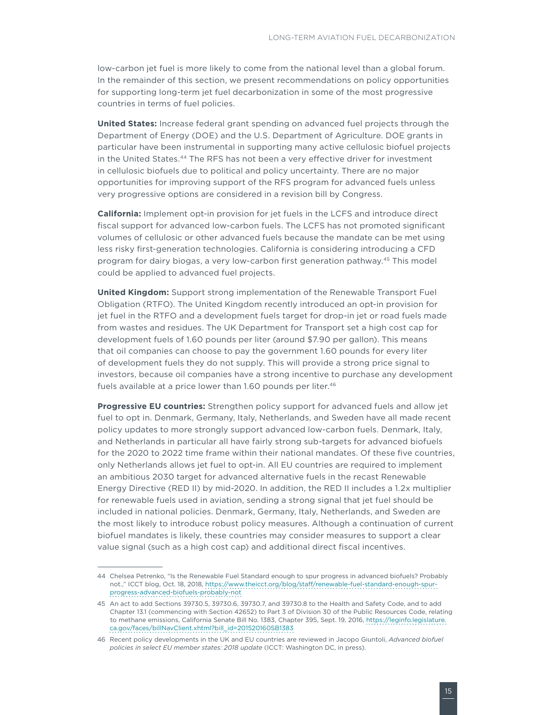low-carbon jet fuel is more likely to come from the national level than a global forum. In the remainder of this section, we present recommendations on policy opportunities for supporting long-term jet fuel decarbonization in some of the most progressive countries in terms of fuel policies.

**United States:** Increase federal grant spending on advanced fuel projects through the Department of Energy (DOE) and the U.S. Department of Agriculture. DOE grants in particular have been instrumental in supporting many active cellulosic biofuel projects in the United States.<sup>44</sup> The RFS has not been a very effective driver for investment in cellulosic biofuels due to political and policy uncertainty. There are no major opportunities for improving support of the RFS program for advanced fuels unless very progressive options are considered in a revision bill by Congress.

**California:** Implement opt-in provision for jet fuels in the LCFS and introduce direct fiscal support for advanced low-carbon fuels. The LCFS has not promoted significant volumes of cellulosic or other advanced fuels because the mandate can be met using less risky first-generation technologies. California is considering introducing a CFD program for dairy biogas, a very low-carbon first generation pathway.45 This model could be applied to advanced fuel projects.

**United Kingdom:** Support strong implementation of the Renewable Transport Fuel Obligation (RTFO). The United Kingdom recently introduced an opt-in provision for jet fuel in the RTFO and a development fuels target for drop-in jet or road fuels made from wastes and residues. The UK Department for Transport set a high cost cap for development fuels of 1.60 pounds per liter (around \$7.90 per gallon). This means that oil companies can choose to pay the government 1.60 pounds for every liter of development fuels they do not supply. This will provide a strong price signal to investors, because oil companies have a strong incentive to purchase any development fuels available at a price lower than 1.60 pounds per liter.<sup>46</sup>

**Progressive EU countries:** Strengthen policy support for advanced fuels and allow jet fuel to opt in. Denmark, Germany, Italy, Netherlands, and Sweden have all made recent policy updates to more strongly support advanced low-carbon fuels. Denmark, Italy, and Netherlands in particular all have fairly strong sub-targets for advanced biofuels for the 2020 to 2022 time frame within their national mandates. Of these five countries, only Netherlands allows jet fuel to opt-in. All EU countries are required to implement an ambitious 2030 target for advanced alternative fuels in the recast Renewable Energy Directive (RED II) by mid-2020. In addition, the RED II includes a 1.2x multiplier for renewable fuels used in aviation, sending a strong signal that jet fuel should be included in national policies. Denmark, Germany, Italy, Netherlands, and Sweden are the most likely to introduce robust policy measures. Although a continuation of current biofuel mandates is likely, these countries may consider measures to support a clear value signal (such as a high cost cap) and additional direct fiscal incentives.

<sup>44</sup> Chelsea Petrenko, "Is the Renewable Fuel Standard enough to spur progress in advanced biofuels? Probably not.," ICCT blog, Oct. 18, 2018, [https://www.theicct.org/blog/staff/renewable-fuel-standard-enough-spur](https://www.theicct.org/blog/staff/renewable-fuel-standard-enough-spur-progress-advanced-biofuels-probably-not)[progress-advanced-biofuels-probably-not](https://www.theicct.org/blog/staff/renewable-fuel-standard-enough-spur-progress-advanced-biofuels-probably-not)

<sup>45</sup> An act to add Sections 39730.5, 39730.6, 39730.7, and 39730.8 to the Health and Safety Code, and to add Chapter 13.1 (commencing with Section 42652) to Part 3 of Division 30 of the Public Resources Code, relating to methane emissions, California Senate Bill No. 1383, Chapter 395, Sept. 19, 2016, [https://leginfo.legislature.](https://leginfo.legislature.ca.gov/faces/billNavClient.xhtml?bill_id=201520160SB1383) [ca.gov/faces/billNavClient.xhtml?bill\\_id=201520160SB1383](https://leginfo.legislature.ca.gov/faces/billNavClient.xhtml?bill_id=201520160SB1383)

<sup>46</sup> Recent policy developments in the UK and EU countries are reviewed in Jacopo Giuntoli, *Advanced biofuel policies in select EU member states: 2018 update* (ICCT: Washington DC, in press).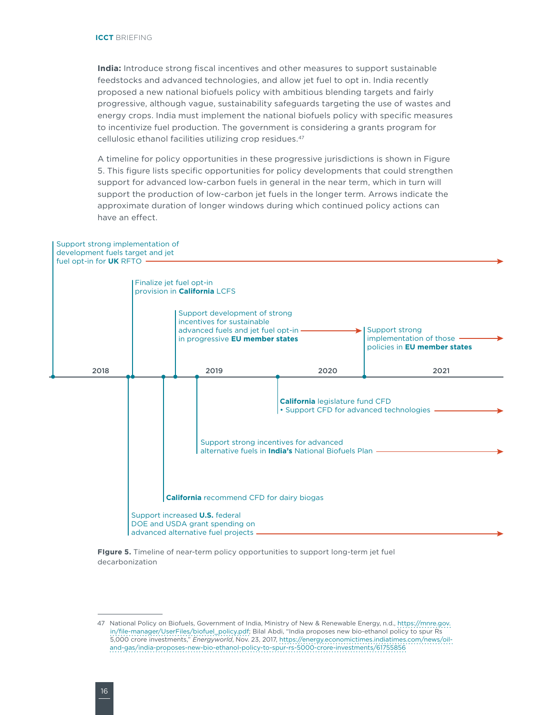**India:** Introduce strong fiscal incentives and other measures to support sustainable feedstocks and advanced technologies, and allow jet fuel to opt in. India recently proposed a new national biofuels policy with ambitious blending targets and fairly progressive, although vague, sustainability safeguards targeting the use of wastes and energy crops. India must implement the national biofuels policy with specific measures to incentivize fuel production. The government is considering a grants program for cellulosic ethanol facilities utilizing crop residues.47

A timeline for policy opportunities in these progressive jurisdictions is shown in [Figure](#page-15-0)  [5.](#page-15-0) This figure lists specific opportunities for policy developments that could strengthen support for advanced low-carbon fuels in general in the near term, which in turn will support the production of low-carbon jet fuels in the longer term. Arrows indicate the approximate duration of longer windows during which continued policy actions can have an effect.



<span id="page-15-0"></span>**FIgure 5.** Timeline of near-term policy opportunities to support long-term jet fuel decarbonization

<sup>47</sup> National Policy on Biofuels, Government of India, Ministry of New & Renewable Energy, n.d., [https://mnre.gov.](https://mnre.gov.in/file-manager/UserFiles/biofuel_policy.pdf) [in/file-manager/UserFiles/biofuel\\_policy.pdf;](https://mnre.gov.in/file-manager/UserFiles/biofuel_policy.pdf) Bilal Abdi, "India proposes new bio-ethanol policy to spur Rs 5,000 crore investments," *Energyworld*, Nov. 23, 2017, [https://energy.economictimes.indiatimes.com/news/oil](https://energy.economictimes.indiatimes.com/news/oil-and-gas/india-proposes-new-bio-ethanol-policy-to-spur-rs-5000-crore-investments/61755856)[and-gas/india-proposes-new-bio-ethanol-policy-to-spur-rs-5000-crore-investments/61755856](https://energy.economictimes.indiatimes.com/news/oil-and-gas/india-proposes-new-bio-ethanol-policy-to-spur-rs-5000-crore-investments/61755856)